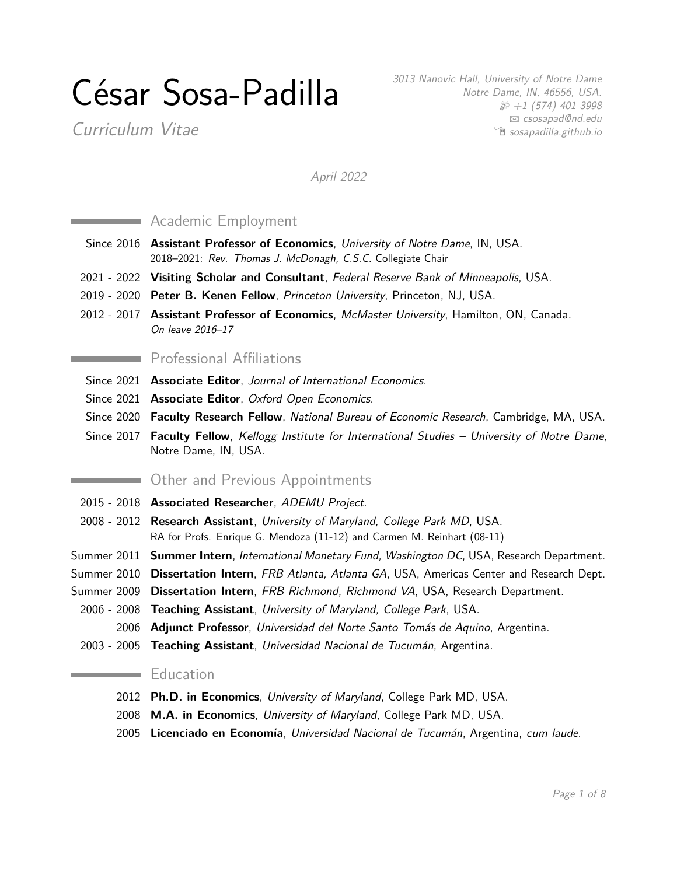# César Sosa-Padilla

Curriculum Vitae

3013 Nanovic Hall, University of Notre Dame Notre Dame, IN, 46556, USA.  $\wp$  +1 (574) 401 3998  $\boxtimes$  [csosapad@nd.edu](mailto:csosapad@nd.edu) <sup>•</sup> [sosapadilla.github.io](http://sosapadilla.github.io)

April 2022

# **Academic Employment**

- Since 2016 **Assistant Professor of Economics**, University of Notre Dame, IN, USA. 2018–2021: Rev. Thomas J. McDonagh, C.S.C. Collegiate Chair
- 2021 2022 **Visiting Scholar and Consultant**, Federal Reserve Bank of Minneapolis, USA.
- 2019 2020 **Peter B. Kenen Fellow**, Princeton University, Princeton, NJ, USA.
- 2012 2017 **Assistant Professor of Economics**, McMaster University, Hamilton, ON, Canada. On leave 2016–17

#### Professional Affiliations

- Since 2021 **Associate Editor**, Journal of International Economics.
- Since 2021 **Associate Editor**, Oxford Open Economics.
- Since 2020 **Faculty Research Fellow**, National Bureau of Economic Research, Cambridge, MA, USA.
- Since 2017 **Faculty Fellow**, Kellogg Institute for International Studies University of Notre Dame, Notre Dame, IN, USA.

# Other and Previous Appointments

- 2015 2018 **Associated Researcher**, ADEMU Project.
- 2008 2012 **Research Assistant**, University of Maryland, College Park MD, USA. RA for Profs. Enrique G. Mendoza (11-12) and Carmen M. Reinhart (08-11)
- Summer 2011 **Summer Intern**, International Monetary Fund, Washington DC, USA, Research Department.
- Summer 2010 **Dissertation Intern**, FRB Atlanta, Atlanta GA, USA, Americas Center and Research Dept.
- Summer 2009 **Dissertation Intern**, FRB Richmond, Richmond VA, USA, Research Department.
- 2006 2008 **Teaching Assistant**, University of Maryland, College Park, USA.
	- 2006 **Adjunct Professor**, Universidad del Norte Santo Tomás de Aquino, Argentina.
- 2003 2005 **Teaching Assistant**, Universidad Nacional de Tucumán, Argentina.

#### and the company of the company Education

- 2012 **Ph.D. in Economics**, University of Maryland, College Park MD, USA.
- 2008 **M.A. in Economics**, University of Maryland, College Park MD, USA.
- 2005 **Licenciado en Economía**, Universidad Nacional de Tucumán, Argentina, cum laude.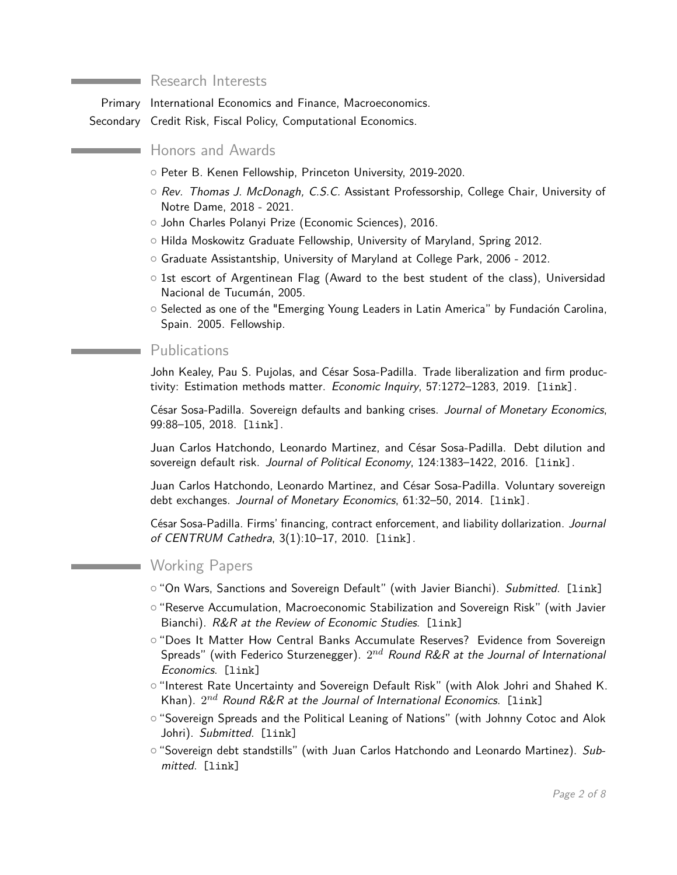#### Research Interests

Primary International Economics and Finance, Macroeconomics. Secondary Credit Risk, Fiscal Policy, Computational Economics.

Honors and Awards

- o Peter B. Kenen Fellowship, Princeton University, 2019-2020.
- Rev. Thomas J. McDonagh, C.S.C. Assistant Professorship, College Chair, University of Notre Dame, 2018 - 2021.
- { John Charles Polanyi Prize (Economic Sciences), 2016.
- { Hilda Moskowitz Graduate Fellowship, University of Maryland, Spring 2012.
- { Graduate Assistantship, University of Maryland at College Park, 2006 2012.
- $\circ$  1st escort of Argentinean Flag (Award to the best student of the class), Universidad Nacional de Tucumán, 2005.
- { Selected as one of the "Emerging Young Leaders in Latin America" by Fundación Carolina, Spain. 2005. Fellowship.

#### Publications

John Kealey, Pau S. Pujolas, and César Sosa-Padilla. Trade liberalization and firm produc-tivity: Estimation methods matter. Economic Inquiry, 57:1272-1283, 2019. [\[link\]](https://drive.google.com/open?id=1n-xXl7foxpJiJr4RKbCQRQ_OM06HB61z).

César Sosa-Padilla. Sovereign defaults and banking crises. Journal of Monetary Economics, 99:88–105, 2018. [\[link\]](https://doi.org/10.1016/j.jmoneco.2018.07.004).

Juan Carlos Hatchondo, Leonardo Martinez, and César Sosa-Padilla. Debt dilution and sovereign default risk. Journal of Political Economy, 124:1383-1422, 2016. [\[link\]](https://doi.org/10.1086/688081).

Juan Carlos Hatchondo, Leonardo Martinez, and César Sosa-Padilla. Voluntary sovereign debt exchanges. Journal of Monetary Economics, 61:32–50, 2014. [\[link\]](http://dx.doi.org/10.1016/j.jmoneco.2013.11.002).

César Sosa-Padilla. Firms' financing, contract enforcement, and liability dollarization. Journal of CENTRUM Cathedra, 3(1):10–17, 2010. [\[link\]](http://ssrn.com/abstract=1588170).

#### **Working Papers**

- $\circ$  "On Wars, Sanctions and Sovereign Default" (with Javier Bianchi). Submitted. [1ink]
- { "Reserve Accumulation, Macroeconomic Stabilization and Sovereign Risk" (with Javier Bianchi). R&R at the Review of Economic Studies. [\[link\]](https://sosapadilla.github.io/files/papers/Working_papers/reserves_macro_stabilization_web.pdf)
- { "Does It Matter How Central Banks Accumulate Reserves? Evidence from Sovereign Spreads" (with Federico Sturzenegger).  $2^{nd}$  *Round R&R at the Journal of International* Economics. [\[link\]](https://sosapadilla.github.io/files/papers/Working_papers/sosa-padilla_sturzenegger_web.pdf)
- o "Interest Rate Uncertainty and Sovereign Default Risk" (with Alok Johri and Shahed K. Khan).  $2^{nd}$  *Round R&R at the Journal of International Economics*. [1ink]
- $\circ$  "Sovereign Spreads and the Political Leaning of Nations" (with Johnny Cotoc and Alok Johri). Submitted. [\[link\]](https://sosapadilla.github.io/files/papers/Working_papers/politics_spreads_web.pdf)
- $\circ$  "Sovereign debt standstills" (with Juan Carlos Hatchondo and Leonardo Martinez). Submitted. [\[link\]](https://sosapadilla.github.io/files/papers/Working_papers/standstills_hmsp.pdf)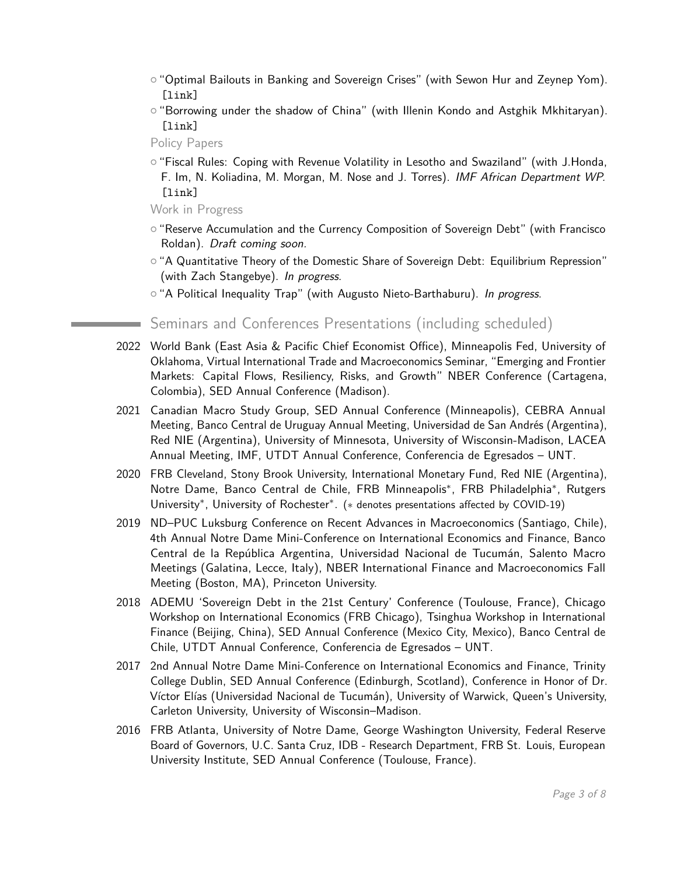- $\circ$  "Optimal Bailouts in Banking and Sovereign Crises" (with Sewon Hur and Zeynep Yom). [\[link\]](https://sosapadilla.github.io/files/papers/Working_papers/bailouts_web.pdf)
- $\circ$  "Borrowing under the shadow of China" (with Illenin Kondo and Astghik Mkhitaryan). [\[link\]](https://sosapadilla.github.io/files/papers/Working_papers/china_shadow_web.pdf)
- Policy Papers
- $\circ$  "Fiscal Rules: Coping with Revenue Volatility in Lesotho and Swaziland" (with J.Honda, F. Im, N. Koliadina, M. Morgan, M. Nose and J. Torres). IMF African Department WP. [\[link\]](http://www.imf.org/en/Publications/Departmental-Papers-Policy-Papers/Issues/2017/09/12/Fiscal-Rules-Coping-with-Revenue-Volatility-in-Lesotho-and-Swaziland-45073)

Work in Progress

- { "Reserve Accumulation and the Currency Composition of Sovereign Debt" (with Francisco Roldan). Draft coming soon.
- $\circ$  "A Quantitative Theory of the Domestic Share of Sovereign Debt: Equilibrium Repression" (with Zach Stangebye). In progress.
- $\circ$  "A Political Inequality Trap" (with Augusto Nieto-Barthaburu). In progress.

#### Seminars and Conferences Presentations (including scheduled)

- 2022 World Bank (East Asia & Pacific Chief Economist Office), Minneapolis Fed, University of Oklahoma, Virtual International Trade and Macroeconomics Seminar, "Emerging and Frontier Markets: Capital Flows, Resiliency, Risks, and Growth" NBER Conference (Cartagena, Colombia), SED Annual Conference (Madison).
- 2021 Canadian Macro Study Group, SED Annual Conference (Minneapolis), CEBRA Annual Meeting, Banco Central de Uruguay Annual Meeting, Universidad de San Andrés (Argentina), Red NIE (Argentina), University of Minnesota, University of Wisconsin-Madison, LACEA Annual Meeting, IMF, UTDT Annual Conference, Conferencia de Egresados – UNT.
- 2020 FRB Cleveland, Stony Brook University, International Monetary Fund, Red NIE (Argentina), Notre Dame, Banco Central de Chile, FRB Minneapolis\*, FRB Philadelphia\*, Rutgers University<sup>\*</sup>, University of Rochester<sup>\*</sup>. (\* denotes presentations affected by COVID-19)
- 2019 ND–PUC Luksburg Conference on Recent Advances in Macroeconomics (Santiago, Chile), 4th Annual Notre Dame Mini-Conference on International Economics and Finance, Banco Central de la República Argentina, Universidad Nacional de Tucumán, Salento Macro Meetings (Galatina, Lecce, Italy), NBER International Finance and Macroeconomics Fall Meeting (Boston, MA), Princeton University.
- 2018 ADEMU 'Sovereign Debt in the 21st Century' Conference (Toulouse, France), Chicago Workshop on International Economics (FRB Chicago), Tsinghua Workshop in International Finance (Beijing, China), SED Annual Conference (Mexico City, Mexico), Banco Central de Chile, UTDT Annual Conference, Conferencia de Egresados – UNT.
- 2017 2nd Annual Notre Dame Mini-Conference on International Economics and Finance, Trinity College Dublin, SED Annual Conference (Edinburgh, Scotland), Conference in Honor of Dr. Víctor Elías (Universidad Nacional de Tucumán), University of Warwick, Queen's University, Carleton University, University of Wisconsin–Madison.
- 2016 FRB Atlanta, University of Notre Dame, George Washington University, Federal Reserve Board of Governors, U.C. Santa Cruz, IDB - Research Department, FRB St. Louis, European University Institute, SED Annual Conference (Toulouse, France).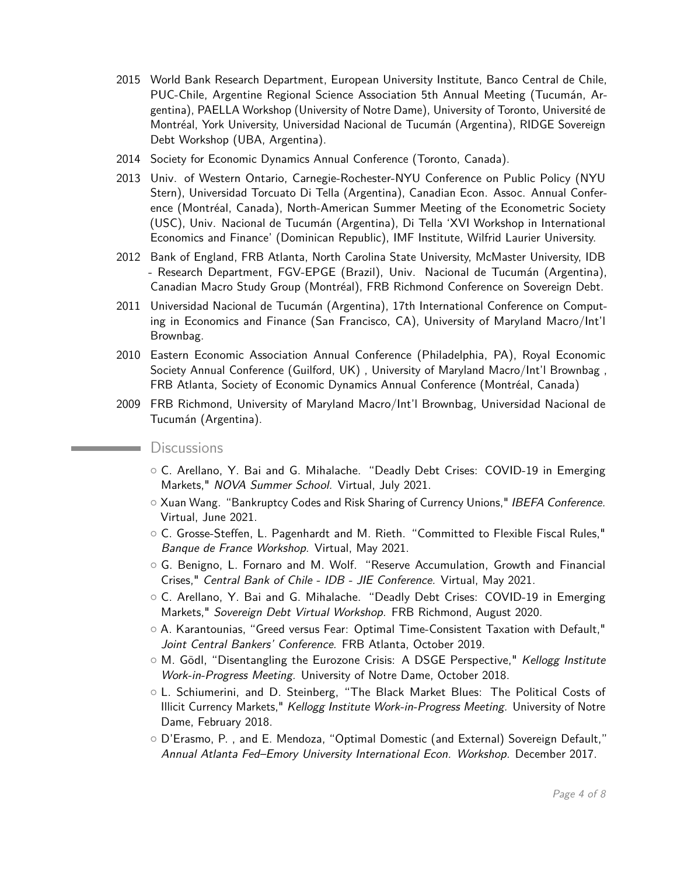- 2015 World Bank Research Department, European University Institute, Banco Central de Chile, PUC-Chile, Argentine Regional Science Association 5th Annual Meeting (Tucumán, Argentina), PAELLA Workshop (University of Notre Dame), University of Toronto, Université de Montréal, York University, Universidad Nacional de Tucumán (Argentina), RIDGE Sovereign Debt Workshop (UBA, Argentina).
- 2014 Society for Economic Dynamics Annual Conference (Toronto, Canada).
- 2013 Univ. of Western Ontario, Carnegie-Rochester-NYU Conference on Public Policy (NYU Stern), Universidad Torcuato Di Tella (Argentina), Canadian Econ. Assoc. Annual Conference (Montréal, Canada), North-American Summer Meeting of the Econometric Society (USC), Univ. Nacional de Tucumán (Argentina), Di Tella 'XVI Workshop in International Economics and Finance' (Dominican Republic), IMF Institute, Wilfrid Laurier University.
- 2012 Bank of England, FRB Atlanta, North Carolina State University, McMaster University, IDB - Research Department, FGV-EPGE (Brazil), Univ. Nacional de Tucumán (Argentina), Canadian Macro Study Group (Montréal), FRB Richmond Conference on Sovereign Debt.
- 2011 Universidad Nacional de Tucumán (Argentina), 17th International Conference on Computing in Economics and Finance (San Francisco, CA), University of Maryland Macro/Int'l Brownbag.
- 2010 Eastern Economic Association Annual Conference (Philadelphia, PA), Royal Economic Society Annual Conference (Guilford, UK) , University of Maryland Macro/Int'l Brownbag , FRB Atlanta, Society of Economic Dynamics Annual Conference (Montréal, Canada)
- 2009 FRB Richmond, University of Maryland Macro/Int'l Brownbag, Universidad Nacional de Tucumán (Argentina).

#### **Discussions**

- { C. Arellano, Y. Bai and G. Mihalache. "Deadly Debt Crises: COVID-19 in Emerging Markets," NOVA Summer School. Virtual, July 2021.
- $\circ$  Xuan Wang. "Bankruptcy Codes and Risk Sharing of Currency Unions," IBEFA Conference. Virtual, June 2021.
- $\circ$  C. Grosse-Steffen, L. Pagenhardt and M. Rieth. "Committed to Flexible Fiscal Rules," Banque de France Workshop. Virtual, May 2021.
- $\circ$  G. Benigno, L. Fornaro and M. Wolf. "Reserve Accumulation, Growth and Financial Crises," Central Bank of Chile - IDB - JIE Conference. Virtual, May 2021.
- { C. Arellano, Y. Bai and G. Mihalache. "Deadly Debt Crises: COVID-19 in Emerging Markets," Sovereign Debt Virtual Workshop. FRB Richmond, August 2020.
- $\circ$  A. Karantounias, "Greed versus Fear: Optimal Time-Consistent Taxation with Default," Joint Central Bankers' Conference. FRB Atlanta, October 2019.
- $\circ$  M. Gödl, "Disentangling the Eurozone Crisis: A DSGE Perspective," Kellogg Institute Work-in-Progress Meeting. University of Notre Dame, October 2018.
- o L. Schiumerini, and D. Steinberg, "The Black Market Blues: The Political Costs of Illicit Currency Markets," Kellogg Institute Work-in-Progress Meeting. University of Notre Dame, February 2018.
- { D'Erasmo, P. , and E. Mendoza, "Optimal Domestic (and External) Sovereign Default," Annual Atlanta Fed–Emory University International Econ. Workshop. December 2017.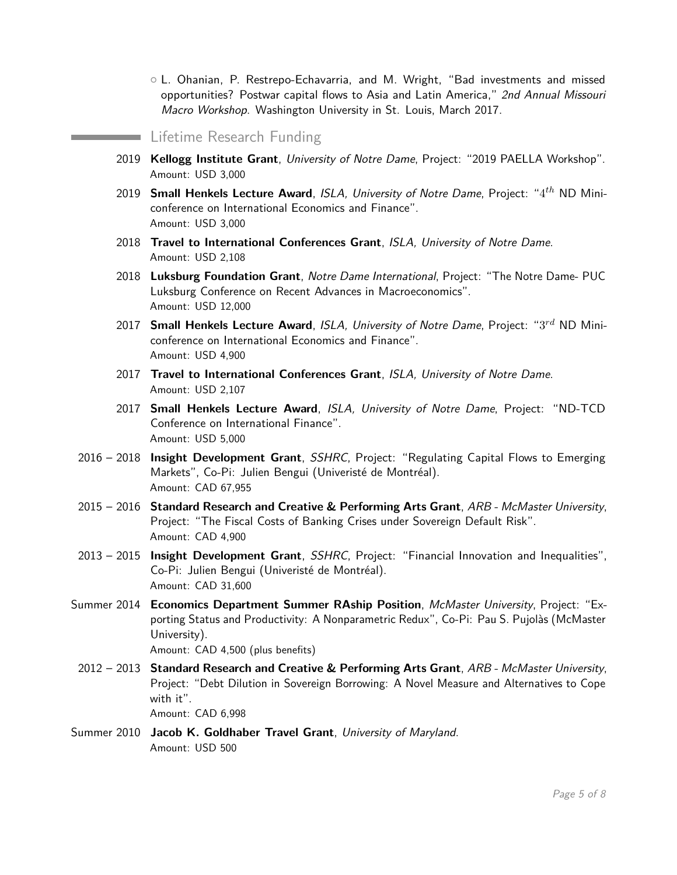$\circ$  L. Ohanian, P. Restrepo-Echavarria, and M. Wright, "Bad investments and missed opportunities? Postwar capital flows to Asia and Latin America," 2nd Annual Missouri Macro Workshop. Washington University in St. Louis, March 2017.

#### Lifetime Research Funding

- 2019 **Kellogg Institute Grant**, University of Notre Dame, Project: "2019 PAELLA Workshop". Amount: USD 3,000
- 2019 **Small Henkels Lecture Award**, ISLA, University of Notre Dame, Project: "4 *th* ND Miniconference on International Economics and Finance". Amount: USD 3,000
- 2018 **Travel to International Conferences Grant**, ISLA, University of Notre Dame. Amount: USD 2,108
- 2018 **Luksburg Foundation Grant**, Notre Dame International, Project: "The Notre Dame- PUC Luksburg Conference on Recent Advances in Macroeconomics". Amount: USD 12,000
- 2017 **Small Henkels Lecture Award**, ISLA, University of Notre Dame, Project: "3 *rd* ND Miniconference on International Economics and Finance". Amount: USD 4,900
- 2017 **Travel to International Conferences Grant**, ISLA, University of Notre Dame. Amount: USD 2,107
- 2017 **Small Henkels Lecture Award**, ISLA, University of Notre Dame, Project: "ND-TCD Conference on International Finance". Amount: USD 5,000
- 2016 2018 **Insight Development Grant**, SSHRC, Project: "Regulating Capital Flows to Emerging Markets", Co-Pi: Julien Bengui (Univeristé de Montréal). Amount: CAD 67,955
- 2015 2016 **Standard Research and Creative & Performing Arts Grant**, ARB McMaster University, Project: "The Fiscal Costs of Banking Crises under Sovereign Default Risk". Amount: CAD 4,900
- 2013 2015 **Insight Development Grant**, SSHRC, Project: "Financial Innovation and Inequalities", Co-Pi: Julien Bengui (Univeristé de Montréal). Amount: CAD 31,600
- Summer 2014 **Economics Department Summer RAship Position**, McMaster University, Project: "Exporting Status and Productivity: A Nonparametric Redux", Co-Pi: Pau S. Pujolàs (McMaster University). Amount: CAD 4,500 (plus benefits)
- 2012 2013 **Standard Research and Creative & Performing Arts Grant**, ARB McMaster University, Project: "Debt Dilution in Sovereign Borrowing: A Novel Measure and Alternatives to Cope with it". Amount: CAD 6,998
- Summer 2010 **Jacob K. Goldhaber Travel Grant**, University of Maryland. Amount: USD 500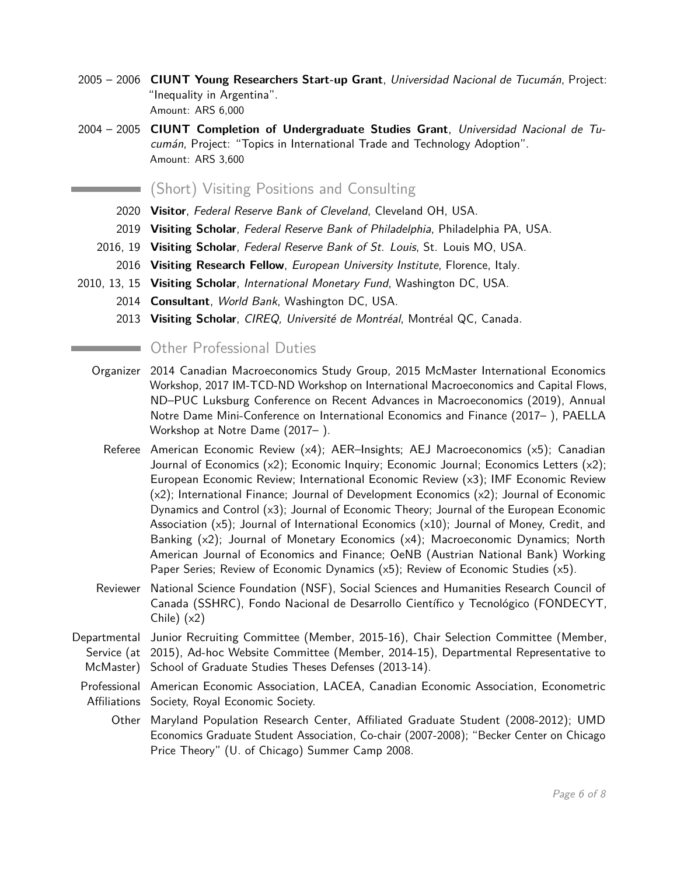- 2005 2006 **CIUNT Young Researchers Start-up Grant**, Universidad Nacional de Tucumán, Project: "Inequality in Argentina". Amount: ARS 6,000
- 2004 2005 **CIUNT Completion of Undergraduate Studies Grant**, Universidad Nacional de Tucumán, Project: "Topics in International Trade and Technology Adoption". Amount: ARS 3,600

(Short) Visiting Positions and Consulting

- 2020 **Visitor**, Federal Reserve Bank of Cleveland, Cleveland OH, USA.
- 2019 **Visiting Scholar**, Federal Reserve Bank of Philadelphia, Philadelphia PA, USA.
- 2016, 19 **Visiting Scholar**, Federal Reserve Bank of St. Louis, St. Louis MO, USA.
- 2016 **Visiting Research Fellow**, European University Institute, Florence, Italy.
- 2010, 13, 15 **Visiting Scholar**, International Monetary Fund, Washington DC, USA.
	- 2014 **Consultant**, World Bank, Washington DC, USA.
		- 2013 **Visiting Scholar**, CIREQ, Université de Montréal, Montréal QC, Canada.

## Other Professional Duties

- Organizer 2014 Canadian Macroeconomics Study Group, 2015 McMaster International Economics Workshop, 2017 IM-TCD-ND Workshop on International Macroeconomics and Capital Flows, ND–PUC Luksburg Conference on Recent Advances in Macroeconomics (2019), Annual Notre Dame Mini-Conference on International Economics and Finance (2017– ), PAELLA Workshop at Notre Dame (2017– ).
	- Referee American Economic Review (x4); AER–Insights; AEJ Macroeconomics (x5); Canadian Journal of Economics (x2); Economic Inquiry; Economic Journal; Economics Letters (x2); European Economic Review; International Economic Review (x3); IMF Economic Review (x2); International Finance; Journal of Development Economics (x2); Journal of Economic Dynamics and Control (x3); Journal of Economic Theory; Journal of the European Economic Association (x5); Journal of International Economics (x10); Journal of Money, Credit, and Banking (x2); Journal of Monetary Economics (x4); Macroeconomic Dynamics; North American Journal of Economics and Finance; OeNB (Austrian National Bank) Working Paper Series; Review of Economic Dynamics (x5); Review of Economic Studies (x5).
- Reviewer National Science Foundation (NSF), Social Sciences and Humanities Research Council of Canada (SSHRC), Fondo Nacional de Desarrollo Científico y Tecnológico (FONDECYT, Chile) (x2)
- Departmental Junior Recruiting Committee (Member, 2015-16), Chair Selection Committee (Member, Service (at 2015), Ad-hoc Website Committee (Member, 2014-15), Departmental Representative to McMaster) School of Graduate Studies Theses Defenses (2013-14).
	- Professional American Economic Association, LACEA, Canadian Economic Association, Econometric Affiliations Society, Royal Economic Society.
		- Other Maryland Population Research Center, Affiliated Graduate Student (2008-2012); UMD Economics Graduate Student Association, Co-chair (2007-2008); "Becker Center on Chicago Price Theory" (U. of Chicago) Summer Camp 2008.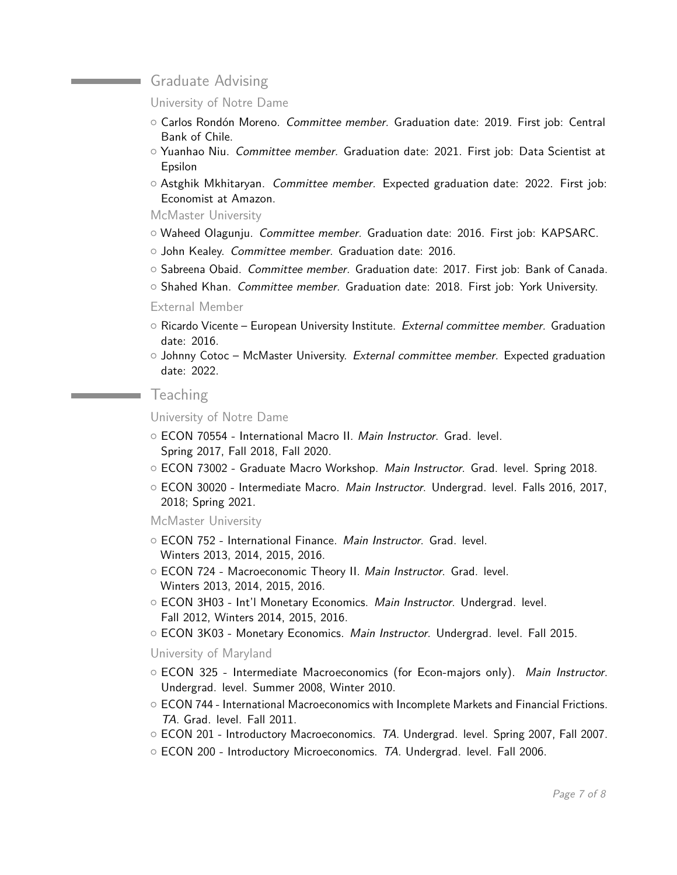#### **Craduate Advising**

University of Notre Dame

- { Carlos Rondón Moreno. Committee member. Graduation date: 2019. First job: Central Bank of Chile.
- $\circ$  Yuanhao Niu. Committee member. Graduation date: 2021. First job: Data Scientist at Epsilon
- $\circ$  Astghik Mkhitaryan. *Committee member.* Expected graduation date: 2022. First job: Economist at Amazon.

McMaster University

- $\circ$  Waheed Olagunju. Committee member. Graduation date: 2016. First job: KAPSARC.
- o John Kealey. Committee member. Graduation date: 2016.
- $\circ$  Sabreena Obaid. Committee member. Graduation date: 2017. First job: Bank of Canada.
- { Shahed Khan. Committee member. Graduation date: 2018. First job: York University.

#### External Member

- $\circ$  Ricardo Vicente European University Institute. External committee member. Graduation date: 2016.
- $\circ$  Johnny Cotoc McMaster University. External committee member. Expected graduation date: 2022.

#### **Teaching**

University of Notre Dame

- ECON 70554 International Macro II. Main Instructor. Grad. level. Spring 2017, Fall 2018, Fall 2020.
- ECON 73002 Graduate Macro Workshop. Main Instructor. Grad. level. Spring 2018.
- ECON 30020 Intermediate Macro. Main Instructor. Undergrad. level. Falls 2016, 2017, 2018; Spring 2021.

McMaster University

- ECON 752 International Finance. Main Instructor. Grad. level. Winters 2013, 2014, 2015, 2016.
- o ECON 724 Macroeconomic Theory II. Main Instructor. Grad. level. Winters 2013, 2014, 2015, 2016.
- ECON 3H03 Int'l Monetary Economics. Main Instructor. Undergrad. level. Fall 2012, Winters 2014, 2015, 2016.
- O ECON 3K03 Monetary Economics. Main Instructor. Undergrad. level. Fall 2015.

University of Maryland

- $\circ$  ECON 325 Intermediate Macroeconomics (for Econ-majors only). Main Instructor. Undergrad. level. Summer 2008, Winter 2010.
- $\circ$  ECON 744 International Macroeconomics with Incomplete Markets and Financial Frictions. TA. Grad. level. Fall 2011.
- $\circ$  ECON 201 Introductory Macroeconomics. TA. Undergrad. level. Spring 2007, Fall 2007.
- $\circ$  ECON 200 Introductory Microeconomics. TA. Undergrad. level. Fall 2006.